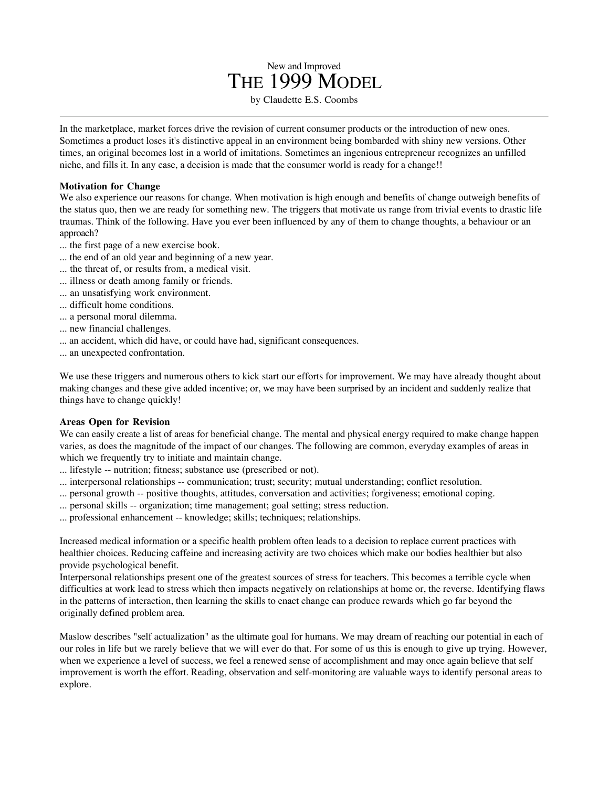In the marketplace, market forces drive the revision of current consumer products or the introduction of new ones. Sometimes a product loses it's distinctive appeal in an environment being bombarded with shiny new versions. Other times, an original becomes lost in a world of imitations. Sometimes an ingenious entrepreneur recognizes an unfilled niche, and fills it. In any case, a decision is made that the consumer world is ready for a change!!

New and Improved THE 1999 MODEL by Claudette E.S. Coombs

## **Motivation for Change**

We also experience our reasons for change. When motivation is high enough and benefits of change outweigh benefits of the status quo, then we are ready for something new. The triggers that motivate us range from trivial events to drastic life traumas. Think of the following. Have you ever been influenced by any of them to change thoughts, a behaviour or an approach?

- ... the first page of a new exercise book.
- ... the end of an old year and beginning of a new year.
- ... the threat of, or results from, a medical visit.
- ... illness or death among family or friends.
- ... an unsatisfying work environment.
- ... difficult home conditions.
- ... a personal moral dilemma.
- ... new financial challenges.
- ... an accident, which did have, or could have had, significant consequences.
- ... an unexpected confrontation.

We use these triggers and numerous others to kick start our efforts for improvement. We may have already thought about making changes and these give added incentive; or, we may have been surprised by an incident and suddenly realize that things have to change quickly!

## **Areas Open for Revision**

We can easily create a list of areas for beneficial change. The mental and physical energy required to make change happen varies, as does the magnitude of the impact of our changes. The following are common, everyday examples of areas in which we frequently try to initiate and maintain change.

- ... lifestyle -- nutrition; fitness; substance use (prescribed or not).
- ... interpersonal relationships -- communication; trust; security; mutual understanding; conflict resolution.
- ... personal growth -- positive thoughts, attitudes, conversation and activities; forgiveness; emotional coping.
- ... personal skills -- organization; time management; goal setting; stress reduction.
- ... professional enhancement -- knowledge; skills; techniques; relationships.

Increased medical information or a specific health problem often leads to a decision to replace current practices with healthier choices. Reducing caffeine and increasing activity are two choices which make our bodies healthier but also provide psychological benefit.

Interpersonal relationships present one of the greatest sources of stress for teachers. This becomes a terrible cycle when difficulties at work lead to stress which then impacts negatively on relationships at home or, the reverse. Identifying flaws in the patterns of interaction, then learning the skills to enact change can produce rewards which go far beyond the originally defined problem area.

Maslow describes "self actualization" as the ultimate goal for humans. We may dream of reaching our potential in each of our roles in life but we rarely believe that we will ever do that. For some of us this is enough to give up trying. However, when we experience a level of success, we feel a renewed sense of accomplishment and may once again believe that self improvement is worth the effort. Reading, observation and self-monitoring are valuable ways to identify personal areas to explore.